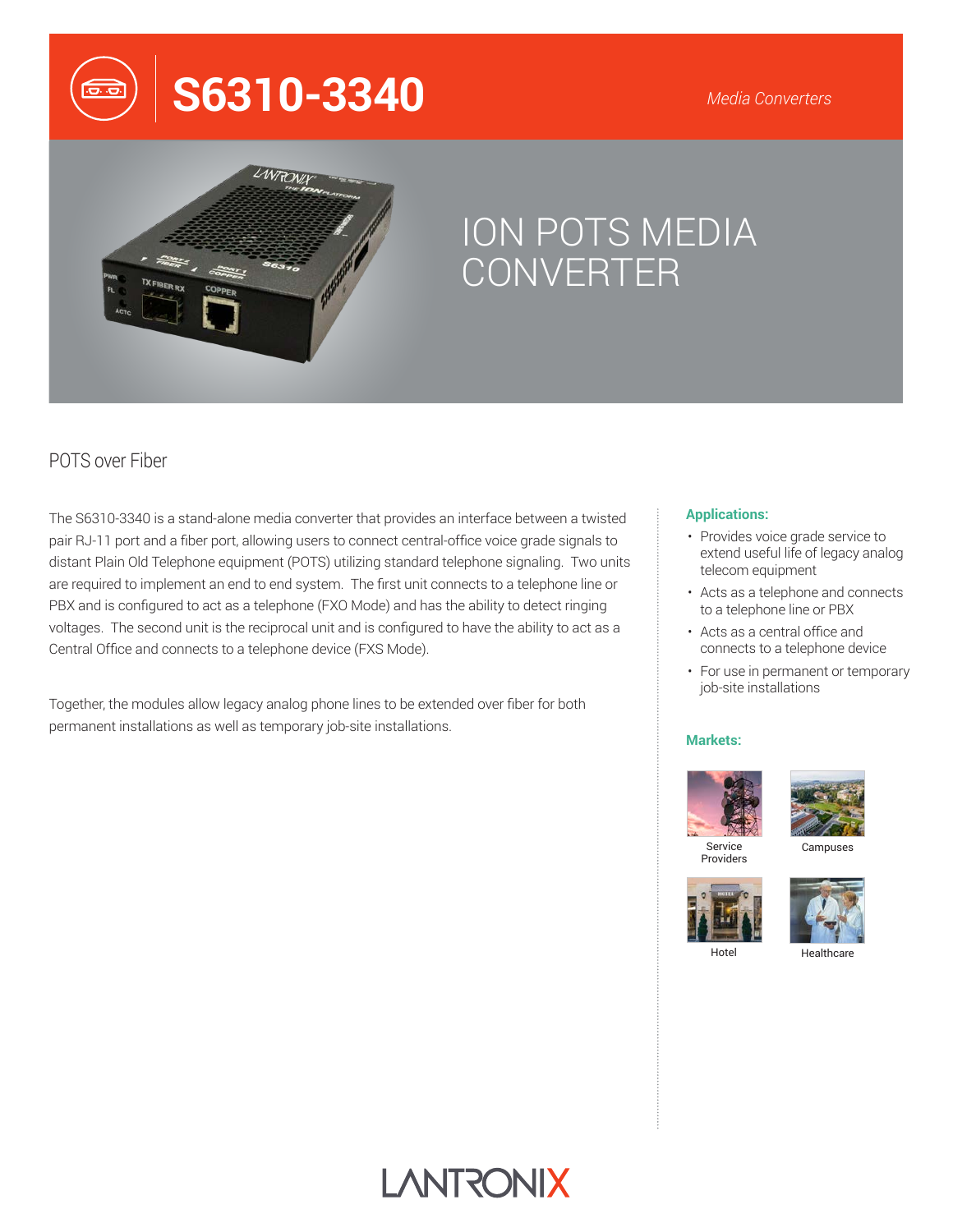# **S6310-3340**



## ION POTS MEDIA CONVERTER

## POTS over Fiber

The S6310-3340 is a stand-alone media converter that provides an interface between a twisted pair RJ-11 port and a fiber port, allowing users to connect central-office voice grade signals to distant Plain Old Telephone equipment (POTS) utilizing standard telephone signaling. Two units are required to implement an end to end system. The first unit connects to a telephone line or PBX and is configured to act as a telephone (FXO Mode) and has the ability to detect ringing voltages. The second unit is the reciprocal unit and is configured to have the ability to act as a Central Office and connects to a telephone device (FXS Mode).

Together, the modules allow legacy analog phone lines to be extended over fiber for both permanent installations as well as temporary job-site installations.

#### **Applications:**

- Provides voice grade service to extend useful life of legacy analog telecom equipment
- Acts as a telephone and connects to a telephone line or PBX
- Acts as a central office and connects to a telephone device
- For use in permanent or temporary job-site installations

#### **Markets:**



Providers



Campuses





Hotel

Healthcare

## **LANTRONIX**